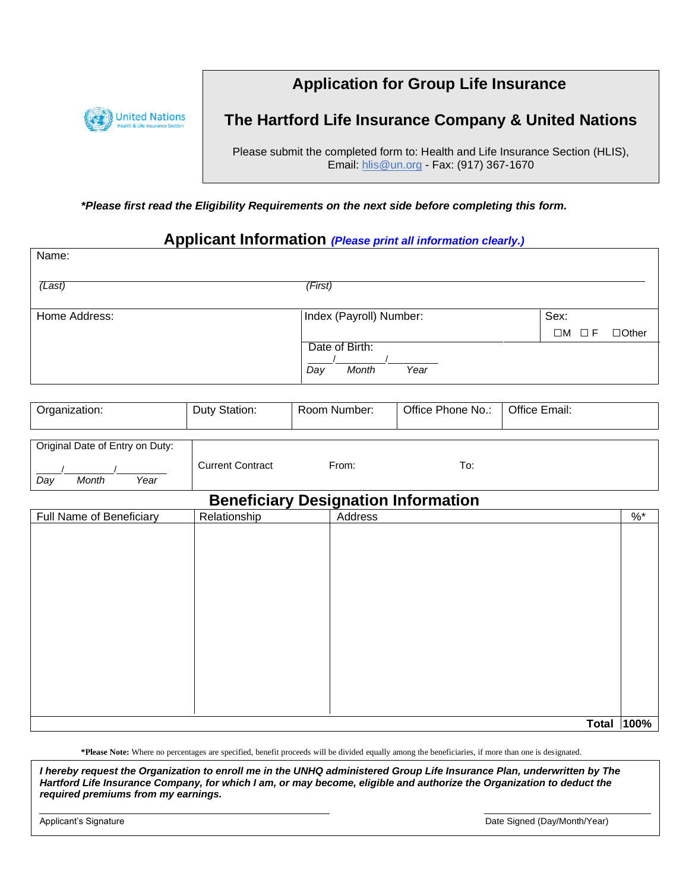

# **Application for Group Life Insurance**

## **The Hartford Life Insurance Company & United Nations**

Please submit the completed form to: Health and Life Insurance Section (HLIS), Email: [hlis@un.org](mailto:hlis@un.org) - Fax: (917) 367-1670

*\*Please first read the Eligibility Requirements on the next side before completing this form.*

### **Applicant Information** *(Please print all information clearly.)*

| Name:               |                         |                                   |
|---------------------|-------------------------|-----------------------------------|
| $\overline{(Last)}$ | (First)                 |                                   |
| Home Address:       | Index (Payroll) Number: | Sex:                              |
|                     |                         | $\Box M$ $\Box F$<br>$\Box$ Other |
|                     | Date of Birth:          |                                   |
|                     | Month<br>Year<br>Day    |                                   |

| Organization: | Duty Station: | Room Number: | Office Phone No.: | Office Email: |
|---------------|---------------|--------------|-------------------|---------------|
|               |               |              |                   |               |

| Original Date of Entry on Duty: |                         |       |      |
|---------------------------------|-------------------------|-------|------|
| Year<br>Month<br>Day            | <b>Current Contract</b> | From: | l o: |

## **Beneficiary Designation Information**

|                          |              | <b>Bononoidi y Boorgnation imprinderent</b> |              |           |
|--------------------------|--------------|---------------------------------------------|--------------|-----------|
| Full Name of Beneficiary | Relationship | Address                                     |              | $\% ^{*}$ |
|                          |              |                                             |              |           |
|                          |              |                                             |              |           |
|                          |              |                                             |              |           |
|                          |              |                                             |              |           |
|                          |              |                                             |              |           |
|                          |              |                                             |              |           |
|                          |              |                                             |              |           |
|                          |              |                                             |              |           |
|                          |              |                                             |              |           |
|                          |              |                                             |              |           |
|                          |              |                                             |              |           |
|                          |              |                                             |              |           |
|                          |              |                                             |              |           |
|                          |              |                                             |              |           |
|                          |              |                                             |              |           |
|                          |              |                                             | <b>Total</b> | 100%      |

**\*Please Note:** Where no percentages are specified, benefit proceeds will be divided equally among the beneficiaries, if more than one is designated.

**Authorization** *Hartford Life Insurance Company, for which I am, or may become, eligible and authorize the Organization to deduct the I hereby request the Organization to enroll me in the UNHQ administered Group Life Insurance Plan, underwritten by The required premiums from my earnings.* 

Applicant's Signature **Applicant's Signature** Characteristic Characteristic Characteristic Characteristic Characteristic Characteristic Characteristic Characteristic Characteristic Characteristic Characteristic Characteris